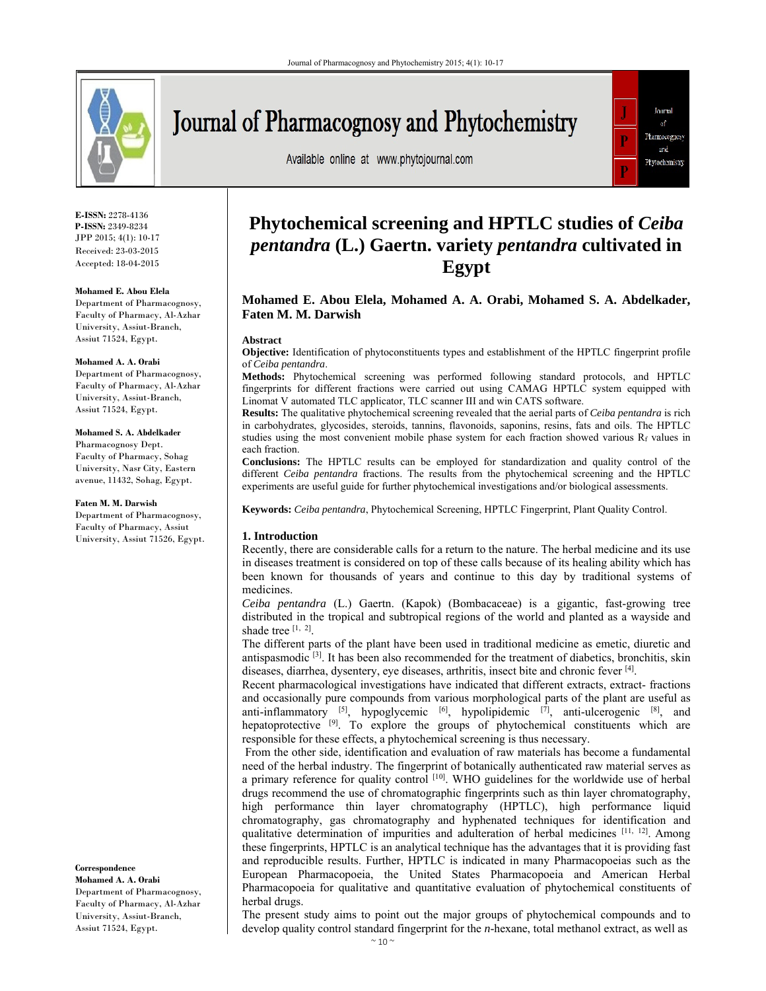

# Journal of Pharmacognosy and Phytochemistry

Available online at www.phytojournal.com



**E-ISSN:** 2278-4136 **P-ISSN:** 2349-8234 JPP 2015; 4(1): 10-17 Received: 23-03-2015 Accepted: 18-04-2015

**Mohamed E. Abou Elela** Department of Pharmacognosy, Faculty of Pharmacy, Al-Azhar University, Assiut-Branch,

# Assiut 71524, Egypt. **Mohamed A. A. Orabi**

Department of Pharmacognosy, Faculty of Pharmacy, Al-Azhar University, Assiut-Branch, Assiut 71524, Egypt.

#### **Mohamed S. A. Abdelkader**

Pharmacognosy Dept. Faculty of Pharmacy, Sohag University, Nasr City, Eastern avenue, 11432, Sohag, Egypt.

#### **Faten M. M. Darwish**

Department of Pharmacognosy, Faculty of Pharmacy, Assiut University, Assiut 71526, Egypt.

**Correspondence Mohamed A. A. Orabi**  Department of Pharmacognosy, Faculty of Pharmacy, Al-Azhar University, Assiut-Branch, Assiut 71524, Egypt.

# **Phytochemical screening and HPTLC studies of** *Ceiba pentandra* **(L.) Gaertn. variety** *pentandra* **cultivated in Egypt**

# **Mohamed E. Abou Elela, Mohamed A. A. Orabi, Mohamed S. A. Abdelkader, Faten M. M. Darwish**

#### **Abstract**

**Objective:** Identification of phytoconstituents types and establishment of the HPTLC fingerprint profile of *Ceiba pentandra*.

**Methods:** Phytochemical screening was performed following standard protocols, and HPTLC fingerprints for different fractions were carried out using CAMAG HPTLC system equipped with Linomat V automated TLC applicator, TLC scanner III and win CATS software.

**Results:** The qualitative phytochemical screening revealed that the aerial parts of *Ceiba pentandra* is rich in carbohydrates, glycosides, steroids, tannins, flavonoids, saponins, resins, fats and oils. The HPTLC studies using the most convenient mobile phase system for each fraction showed various  $R_f$  values in each fraction.

**Conclusions:** The HPTLC results can be employed for standardization and quality control of the different *Ceiba pentandra* fractions. The results from the phytochemical screening and the HPTLC experiments are useful guide for further phytochemical investigations and/or biological assessments.

**Keywords:** *Ceiba pentandra*, Phytochemical Screening, HPTLC Fingerprint, Plant Quality Control.

#### **1. Introduction**

Recently, there are considerable calls for a return to the nature. The herbal medicine and its use in diseases treatment is considered on top of these calls because of its healing ability which has been known for thousands of years and continue to this day by traditional systems of medicines.

*Ceiba pentandra* (L.) Gaertn. (Kapok) (Bombacaceae) is a gigantic, fast-growing tree distributed in the tropical and subtropical regions of the world and planted as a wayside and shade tree  $[1, 2]$ .

The different parts of the plant have been used in traditional medicine as emetic, diuretic and antispasmodic  $[3]$ . It has been also recommended for the treatment of diabetics, bronchitis, skin diseases, diarrhea, dysentery, eye diseases, arthritis, insect bite and chronic fever [4].

Recent pharmacological investigations have indicated that different extracts, extract- fractions and occasionally pure compounds from various morphological parts of the plant are useful as anti-inflammatory  $[5]$ , hypoglycemic  $[6]$ , hypolipidemic  $[7]$ , anti-ulcerogenic  $[8]$ , and hepatoprotective  $[9]$ . To explore the groups of phytochemical constituents which are responsible for these effects, a phytochemical screening is thus necessary.

 From the other side, identification and evaluation of raw materials has become a fundamental need of the herbal industry. The fingerprint of botanically authenticated raw material serves as a primary reference for quality control <sup>[10]</sup>. WHO guidelines for the worldwide use of herbal drugs recommend the use of chromatographic fingerprints such as thin layer chromatography, high performance thin layer chromatography (HPTLC), high performance liquid chromatography, gas chromatography and hyphenated techniques for identification and qualitative determination of impurities and adulteration of herbal medicines [11, 12]. Among these fingerprints, HPTLC is an analytical technique has the advantages that it is providing fast and reproducible results. Further, HPTLC is indicated in many Pharmacopoeias such as the European Pharmacopoeia, the United States Pharmacopoeia and American Herbal Pharmacopoeia for qualitative and quantitative evaluation of phytochemical constituents of herbal drugs.

The present study aims to point out the major groups of phytochemical compounds and to develop quality control standard fingerprint for the *n*-hexane, total methanol extract, as well as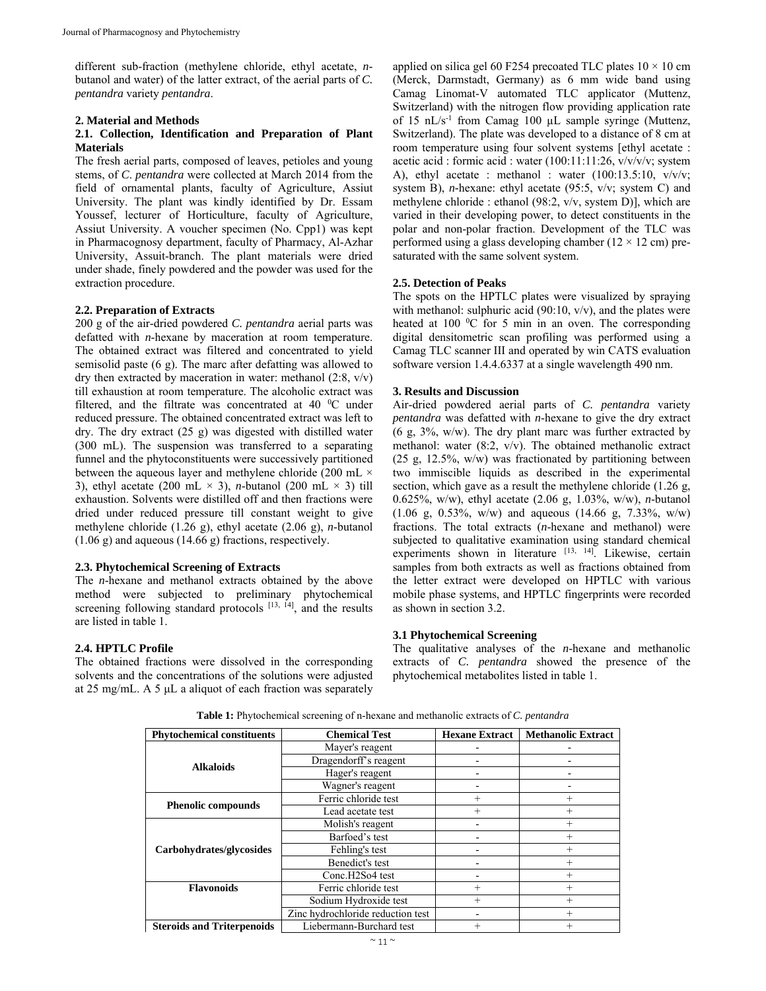different sub-fraction (methylene chloride, ethyl acetate, *n*butanol and water) of the latter extract, of the aerial parts of *C. pentandra* variety *pentandra*.

#### **2. Material and Methods**

# **2.1. Collection, Identification and Preparation of Plant Materials**

The fresh aerial parts, composed of leaves, petioles and young stems, of *C*. *pentandra* were collected at March 2014 from the field of ornamental plants, faculty of Agriculture, Assiut University. The plant was kindly identified by Dr. Essam Youssef, lecturer of Horticulture, faculty of Agriculture, Assiut University. A voucher specimen (No. Cpp1) was kept in Pharmacognosy department, faculty of Pharmacy, Al-Azhar University, Assuit-branch. The plant materials were dried under shade, finely powdered and the powder was used for the extraction procedure.

# **2.2. Preparation of Extracts**

200 g of the air-dried powdered *C. pentandra* aerial parts was defatted with *n*-hexane by maceration at room temperature. The obtained extract was filtered and concentrated to yield semisolid paste (6 g). The marc after defatting was allowed to dry then extracted by maceration in water: methanol (2:8, v/v) till exhaustion at room temperature. The alcoholic extract was filtered, and the filtrate was concentrated at 40 $\degree$ C under reduced pressure. The obtained concentrated extract was left to dry. The dry extract (25 g) was digested with distilled water (300 mL). The suspension was transferred to a separating funnel and the phytoconstituents were successively partitioned between the aqueous layer and methylene chloride (200 mL  $\times$ 3), ethyl acetate (200 mL  $\times$  3), *n*-butanol (200 mL  $\times$  3) till exhaustion. Solvents were distilled off and then fractions were dried under reduced pressure till constant weight to give methylene chloride (1.26 g), ethyl acetate (2.06 g), *n*-butanol (1.06 g) and aqueous (14.66 g) fractions, respectively.

# **2.3. Phytochemical Screening of Extracts**

The *n*-hexane and methanol extracts obtained by the above method were subjected to preliminary phytochemical screening following standard protocols [13, 14], and the results are listed in table 1.

# **2.4. HPTLC Profile**

The obtained fractions were dissolved in the corresponding solvents and the concentrations of the solutions were adjusted at 25 mg/mL. A 5 μL a aliquot of each fraction was separately

applied on silica gel 60 F254 precoated TLC plates  $10 \times 10$  cm (Merck, Darmstadt, Germany) as 6 mm wide band using Camag Linomat-V automated TLC applicator (Muttenz, Switzerland) with the nitrogen flow providing application rate of 15 nL/s-1 from Camag 100 µL sample syringe (Muttenz, Switzerland). The plate was developed to a distance of 8 cm at room temperature using four solvent systems [ethyl acetate : acetic acid : formic acid : water (100:11:11:26, v/v/v/v; system A), ethyl acetate : methanol : water  $(100:13.5:10, v/v/v;$ system B), *n-*hexane: ethyl acetate (95:5, v/v; system C) and methylene chloride : ethanol (98:2, v/v, system D)], which are varied in their developing power, to detect constituents in the polar and non-polar fraction. Development of the TLC was performed using a glass developing chamber ( $12 \times 12$  cm) presaturated with the same solvent system.

# **2.5. Detection of Peaks**

The spots on the HPTLC plates were visualized by spraying with methanol: sulphuric acid  $(90:10, v/v)$ , and the plates were heated at 100  $\rm{^0C}$  for 5 min in an oven. The corresponding digital densitometric scan profiling was performed using a Camag TLC scanner III and operated by win CATS evaluation software version 1.4.4.6337 at a single wavelength 490 nm.

# **3. Results and Discussion**

Air-dried powdered aerial parts of *C. pentandra* variety *pentandra* was defatted with *n*-hexane to give the dry extract (6 g, 3%, w/w). The dry plant marc was further extracted by methanol: water (8:2, v/v). The obtained methanolic extract (25 g, 12.5%, w/w) was fractionated by partitioning between two immiscible liquids as described in the experimental section, which gave as a result the methylene chloride (1.26 g, 0.625%, w/w), ethyl acetate (2.06 g, 1.03%, w/w), *n*-butanol  $(1.06 \text{ g}, 0.53\%, \text{w/w})$  and aqueous  $(14.66 \text{ g}, 7.33\%, \text{w/w})$ fractions. The total extracts (*n*-hexane and methanol) were subjected to qualitative examination using standard chemical experiments shown in literature [13, 14]. Likewise, certain samples from both extracts as well as fractions obtained from the letter extract were developed on HPTLC with various mobile phase systems, and HPTLC fingerprints were recorded as shown in section 3.2.

# **3.1 Phytochemical Screening**

The qualitative analyses of the *n*-hexane and methanolic extracts of *C. pentandra* showed the presence of the phytochemical metabolites listed in table 1.

Phytochemical constituents **Chemical Test Hexane Extract | Methanolic Extract Alkaloids**  Mayer's reagent Dragendorff's reagent Hager's reagent  $\qquad \qquad$  -Wagner's reagent **Phenolic compounds** Ferric chloride test + + Lead acetate test **Carbohydrates/glycosides**  Molish's reagent + Barfoed's test  $+$ Fehling's test  $+$ Benedict's test  $+$  $Cone.H2So4 test$  - + **Flavonoids** Ferric chloride test + + Sodium Hydroxide test + + Zinc hydrochloride reduction test  $+$ **Steroids and Triterpenoids** Liebermann-Burchard test + +

**Table 1:** Phytochemical screening of n-hexane and methanolic extracts of *C. pentandra*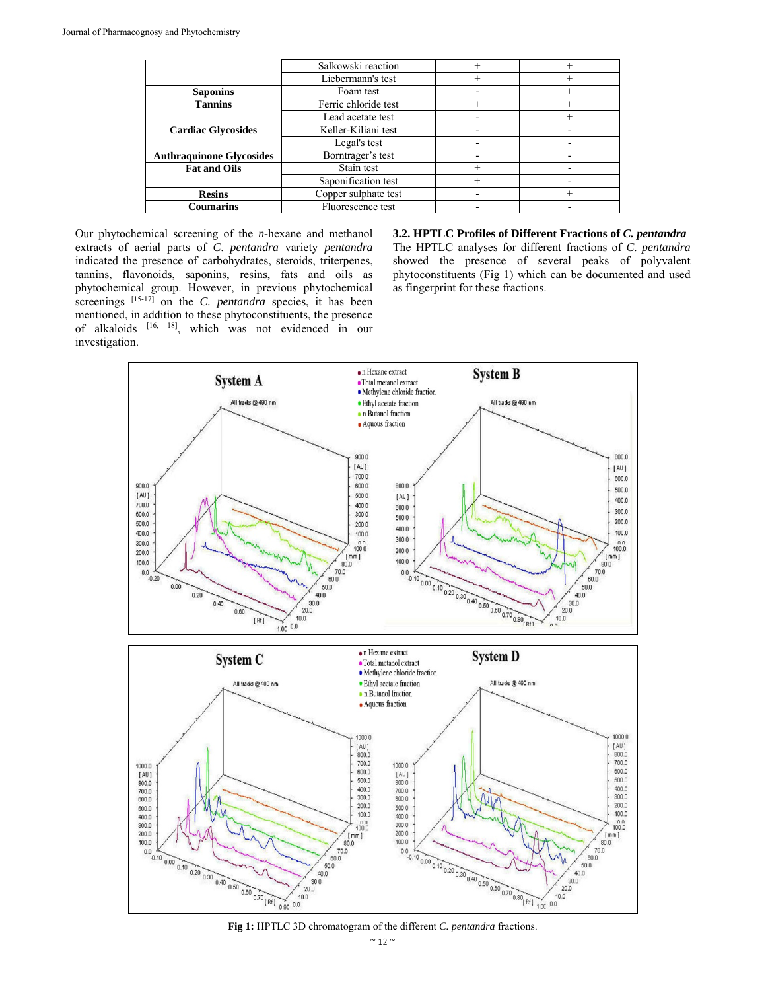|                                 | Salkowski reaction   |        |  |
|---------------------------------|----------------------|--------|--|
|                                 | Liebermann's test    |        |  |
| <b>Saponins</b>                 | Foam test            |        |  |
| <b>Tannins</b>                  | Ferric chloride test | $\, +$ |  |
|                                 | Lead acetate test    |        |  |
| <b>Cardiac Glycosides</b>       | Keller-Kiliani test  |        |  |
|                                 | Legal's test         |        |  |
| <b>Anthraquinone Glycosides</b> | Borntrager's test    |        |  |
| <b>Fat and Oils</b>             | Stain test           | ┿      |  |
|                                 | Saponification test  | $^+$   |  |
| <b>Resins</b>                   | Copper sulphate test |        |  |
| Coumarins                       | Fluorescence test    |        |  |

Our phytochemical screening of the *n*-hexane and methanol extracts of aerial parts of *C*. *pentandra* variety *pentandra* indicated the presence of carbohydrates, steroids, triterpenes, tannins, flavonoids, saponins, resins, fats and oils as phytochemical group. However, in previous phytochemical screenings <sup>[15-17]</sup> on the *C. pentandra* species, it has been mentioned, in addition to these phytoconstituents, the presence of alkaloids [16, 18], which was not evidenced in our investigation.

**3.2. HPTLC Profiles of Different Fractions of** *C. pentandra* The HPTLC analyses for different fractions of *C. pentandra*  showed the presence of several peaks of polyvalent phytoconstituents (Fig 1) which can be documented and used as fingerprint for these fractions.

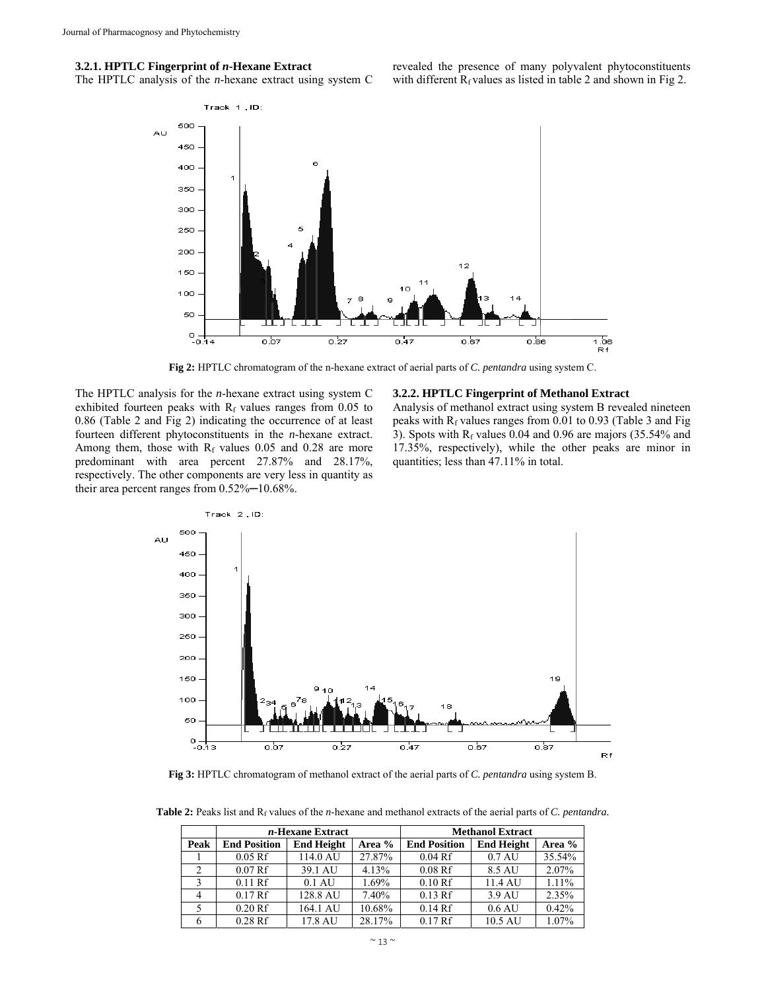#### **3.2.1. HPTLC Fingerprint of** *n***-Hexane Extract**

The HPTLC analysis of the *n*-hexane extract using system C

revealed the presence of many polyvalent phytoconstituents with different  $R_f$  values as listed in table 2 and shown in Fig 2.



**Fig 2:** HPTLC chromatogram of the n-hexane extract of aerial parts of *C. pentandra* using system C.

The HPTLC analysis for the *n*-hexane extract using system C exhibited fourteen peaks with  $R_f$  values ranges from 0.05 to 0.86 (Table 2 and Fig 2) indicating the occurrence of at least fourteen different phytoconstituents in the *n*-hexane extract. Among them, those with  $R_f$  values 0.05 and 0.28 are more predominant with area percent 27.87% and 28.17%, respectively. The other components are very less in quantity as their area percent ranges from  $0.52\%$  -  $10.68\%$ .

#### **3.2.2. HPTLC Fingerprint of Methanol Extract**

Analysis of methanol extract using system B revealed nineteen peaks with  $R_f$  values ranges from 0.01 to 0.93 (Table 3 and Fig. 3). Spots with  $R_f$  values 0.04 and 0.96 are majors (35.54% and 17.35%, respectively), while the other peaks are minor in quantities; less than 47.11% in total.



**Fig 3:** HPTLC chromatogram of methanol extract of the aerial parts of *C. pentandra* using system B.

Table 2: Peaks list and R<sub>f</sub> values of the *n*-hexane and methanol extracts of the aerial parts of *C. pentandra*.

|      |                     | <i>n</i> -Hexane Extract |        |                     | <b>Methanol Extract</b> |        |
|------|---------------------|--------------------------|--------|---------------------|-------------------------|--------|
| Peak | <b>End Position</b> | <b>End Height</b>        | Area % | <b>End Position</b> | <b>End Height</b>       | Area % |
|      | $0.05$ Rf           | 114.0 AU                 | 27.87% | $0.04$ Rf           | $0.7 \mathrm{AU}$       | 35.54% |
|      | 0.07Rf              | 39.1 AU                  | 4.13%  | $0.08$ Rf           | 8.5 AU                  | 2.07%  |
|      | $0.11$ Rf           | $0.1$ AU                 | 1.69%  | 0.10Rf              | 11.4 AU                 | 1.11%  |
| 4    | 0.17Rf              | 128.8 AU                 | 7.40%  | $0.13$ Rf           | 3.9 AU                  | 2.35%  |
|      | 0.20 Rf             | 164.1 AU                 | 10.68% | 0.14Rf              | $0.6 \text{ AU}$        | 0.42%  |
|      | $0.28$ Rf           | 17.8 AU                  | 28.17% | 0.17Rf              | 10.5 AU                 | 1.07%  |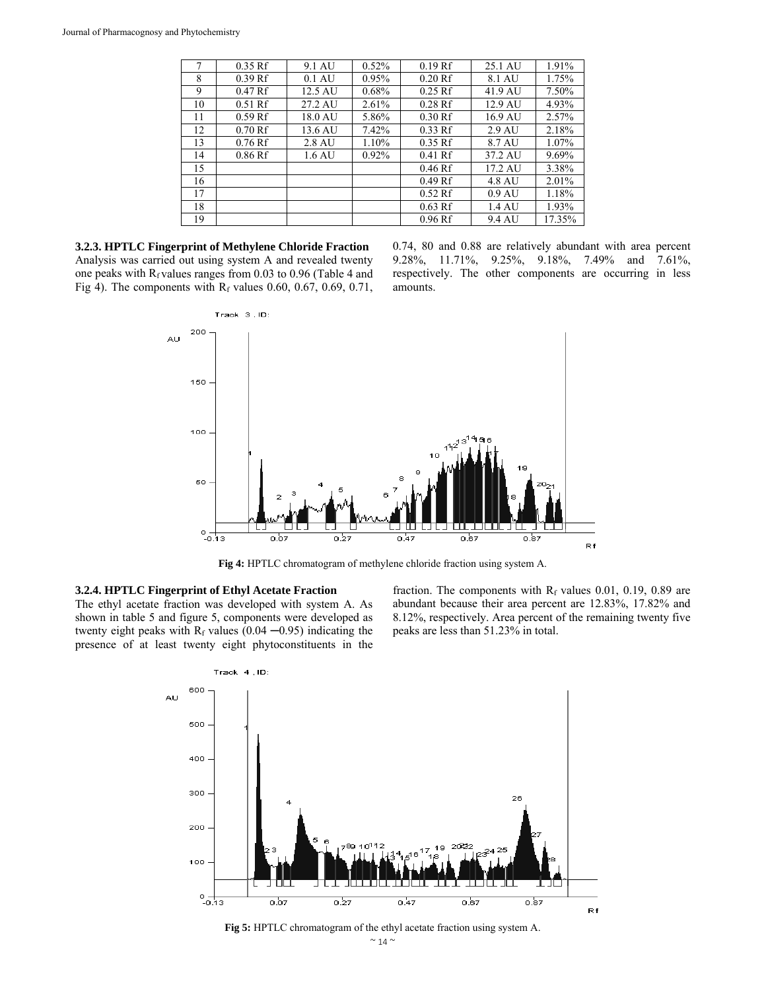| 7  | $0.35$ Rf | 9.1 AU           | 0.52% | $0.19$ Rf | 25.1 AU          | 1.91%  |
|----|-----------|------------------|-------|-----------|------------------|--------|
| 8  | $0.39$ Rf | $0.1 \text{ AU}$ | 0.95% | 0.20Rf    | 8.1 AU           | 1.75%  |
| 9  | 0.47Rf    | 12.5 AU          | 0.68% | $0.25$ Rf | 41.9 AU          | 7.50%  |
| 10 | $0.51$ Rf | 27.2 AU          | 2.61% | $0.28$ Rf | 12.9 AU          | 4.93%  |
| 11 | $0.59$ Rf | 18.0 AU          | 5.86% | 0.30Rf    | 16.9 AU          | 2.57%  |
| 12 | 0.70Rf    | 13.6 AU          | 7.42% | $0.33$ Rf | 2.9 AU           | 2.18%  |
| 13 | $0.76$ Rf | 2.8 AU           | 1.10% | $0.35$ Rf | 8.7 AU           | 1.07%  |
| 14 | $0.86$ Rf | 1.6 AU           | 0.92% | $0.41$ Rf | 37.2 AU          | 9.69%  |
| 15 |           |                  |       | $0.46$ Rf | 17.2 AU          | 3.38%  |
| 16 |           |                  |       | 0.49Rf    | 4.8 AU           | 2.01%  |
| 17 |           |                  |       | $0.52$ Rf | $0.9 \text{ AU}$ | 1.18%  |
| 18 |           |                  |       | $0.63$ Rf | 1.4 AU           | 1.93%  |
| 19 |           |                  |       | $0.96$ Rf | 9.4 AU           | 17.35% |

**3.2.3. HPTLC Fingerprint of Methylene Chloride Fraction**  Analysis was carried out using system A and revealed twenty one peaks with  $R_f$  values ranges from 0.03 to 0.96 (Table 4 and Fig 4). The components with  $R_f$  values 0.60, 0.67, 0.69, 0.71, 0.74, 80 and 0.88 are relatively abundant with area percent 9.28%, 11.71%, 9.25%, 9.18%, 7.49% and 7.61%, respectively. The other components are occurring in less amounts.



**Fig 4:** HPTLC chromatogram of methylene chloride fraction using system A.

#### **3.2.4. HPTLC Fingerprint of Ethyl Acetate Fraction**

The ethyl acetate fraction was developed with system A. As shown in table 5 and figure 5, components were developed as twenty eight peaks with  $R_f$  values (0.04  $-0.95$ ) indicating the presence of at least twenty eight phytoconstituents in the

fraction. The components with  $R_f$  values 0.01, 0.19, 0.89 are abundant because their area percent are 12.83%, 17.82% and 8.12%, respectively. Area percent of the remaining twenty five peaks are less than 51.23% in total.



**Fig 5:** HPTLC chromatogram of the ethyl acetate fraction using system A.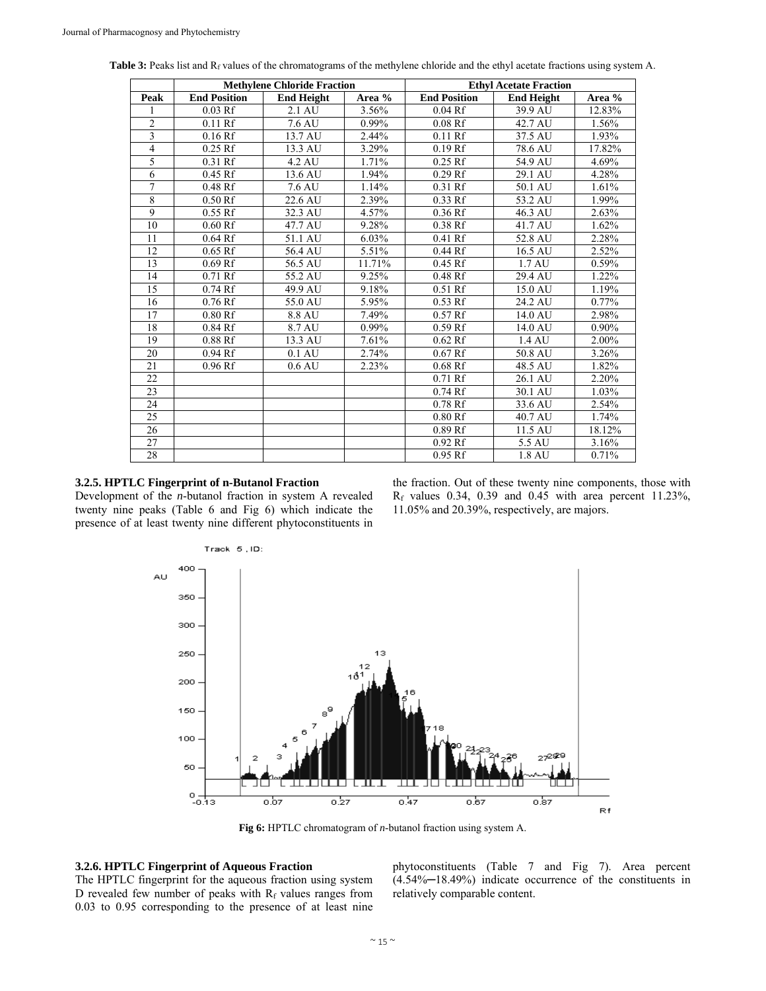|                |                     | <b>Methylene Chloride Fraction</b> |          |                      | <b>Ethyl Acetate Fraction</b> |          |
|----------------|---------------------|------------------------------------|----------|----------------------|-------------------------------|----------|
| Peak           | <b>End Position</b> | <b>End Height</b>                  | Area %   | <b>End Position</b>  | <b>End Height</b>             | Area %   |
| 1              | $0.03$ Rf           | 2.1 AU                             | 3.56%    | $0.04$ Rf            | 39.9 AU                       | 12.83%   |
| $\overline{c}$ | $0.11$ Rf           | 7.6 AU                             | 0.99%    | $0.08$ Rf            | 42.7 AU                       | 1.56%    |
| 3              | $0.16$ Rf           | 13.7 AU                            | 2.44%    | $0.11$ Rf            | 37.5 AU                       | 1.93%    |
| $\overline{4}$ | $0.25$ Rf           | 13.3 AU                            | 3.29%    | 0.19Rf               | 78.6 AU                       | 17.82%   |
| 5              | 0.31 Rf             | 4.2 AU                             | 1.71%    | $0.25$ Rf            | 54.9 AU                       | 4.69%    |
| 6              | 0.45 Rf             | 13.6 AU                            | 1.94%    | $0.29$ Rf            | 29.1 AU                       | 4.28%    |
| $\overline{7}$ | $0.48$ Rf           | 7.6 AU                             | 1.14%    | $0.31$ Rf            | 50.1 AU                       | 1.61%    |
| 8              | 0.50Rf              | 22.6 AU                            | 2.39%    | $\overline{0.33}$ Rf | 53.2 AU                       | 1.99%    |
| 9              | $0.55$ Rf           | 32.3 AU                            | 4.57%    | $0.36$ Rf            | 46.3 AU                       | 2.63%    |
| 10             | 0.60Rf              | 47.7 AU                            | 9.28%    | $0.38$ Rf            | 41.7 AU                       | 1.62%    |
| 11             | $0.64$ Rf           | 51.1 AU                            | 6.03%    | $0.41$ Rf            | 52.8 AU                       | 2.28%    |
| 12             | $0.65$ Rf           | 56.4 AU                            | 5.51%    | 0.44Rf               | 16.5 AU                       | 2.52%    |
| 13             | $0.69$ Rf           | 56.5 AU                            | 11.71%   | $0.45$ Rf            | 1.7 AU                        | 0.59%    |
| 14             | $0.71$ Rf           | 55.2 AU                            | 9.25%    | $0.48$ Rf            | 29.4 AU                       | 1.22%    |
| 15             | $0.74$ Rf           | 49.9 AU                            | 9.18%    | $0.51$ Rf            | 15.0 AU                       | 1.19%    |
| 16             | $0.76$ Rf           | 55.0 AU                            | 5.95%    | $0.53$ Rf            | 24.2 AU                       | $0.77\%$ |
| 17             | 0.80Rf              | 8.8 AU                             | 7.49%    | $0.57$ Rf            | 14.0 AU                       | 2.98%    |
| 18             | $0.84$ Rf           | 8.7 AU                             | $0.99\%$ | $0.59$ Rf            | 14.0 AU                       | $0.90\%$ |
| 19             | $0.88$ Rf           | 13.3 AU                            | 7.61%    | $0.62$ Rf            | 1.4 AU                        | 2.00%    |
| 20             | $0.94$ Rf           | $0.1 \text{ AU}$                   | 2.74%    | $0.67$ Rf            | 50.8 AU                       | 3.26%    |
| 21             | $0.96$ Rf           | $0.6 \mathrm{AU}$                  | 2.23%    | $0.68$ Rf            | 48.5 AU                       | 1.82%    |
| 22             |                     |                                    |          | $0.71$ Rf            | 26.1 AU                       | 2.20%    |
| 23             |                     |                                    |          | $0.74$ Rf            | 30.1 AU                       | 1.03%    |
| 24             |                     |                                    |          | $0.78$ Rf            | 33.6 AU                       | 2.54%    |
| 25             |                     |                                    |          | 0.80Rf               | 40.7 AU                       | 1.74%    |
| 26             |                     |                                    |          | $0.89$ Rf            | 11.5 AU                       | 18.12%   |
| 27             |                     |                                    |          | $0.92$ Rf            | 5.5 AU                        | 3.16%    |
| 28             |                     |                                    |          | $0.95$ Rf            | 1.8 AU                        | 0.71%    |

Table 3: Peaks list and R<sub>f</sub> values of the chromatograms of the methylene chloride and the ethyl acetate fractions using system A.

#### **3.2.5. HPTLC Fingerprint of n-Butanol Fraction**

Development of the *n*-butanol fraction in system A revealed twenty nine peaks (Table 6 and Fig 6) which indicate the presence of at least twenty nine different phytoconstituents in

the fraction. Out of these twenty nine components, those with  $R_f$  values 0.34, 0.39 and 0.45 with area percent 11.23%, 11.05% and 20.39%, respectively, are majors.



**Fig 6:** HPTLC chromatogram of *n*-butanol fraction using system A.

# **3.2.6. HPTLC Fingerprint of Aqueous Fraction**

The HPTLC fingerprint for the aqueous fraction using system D revealed few number of peaks with  $R_f$  values ranges from 0.03 to 0.95 corresponding to the presence of at least nine

phytoconstituents (Table 7 and Fig 7). Area percent (4.54%─18.49%) indicate occurrence of the constituents in relatively comparable content.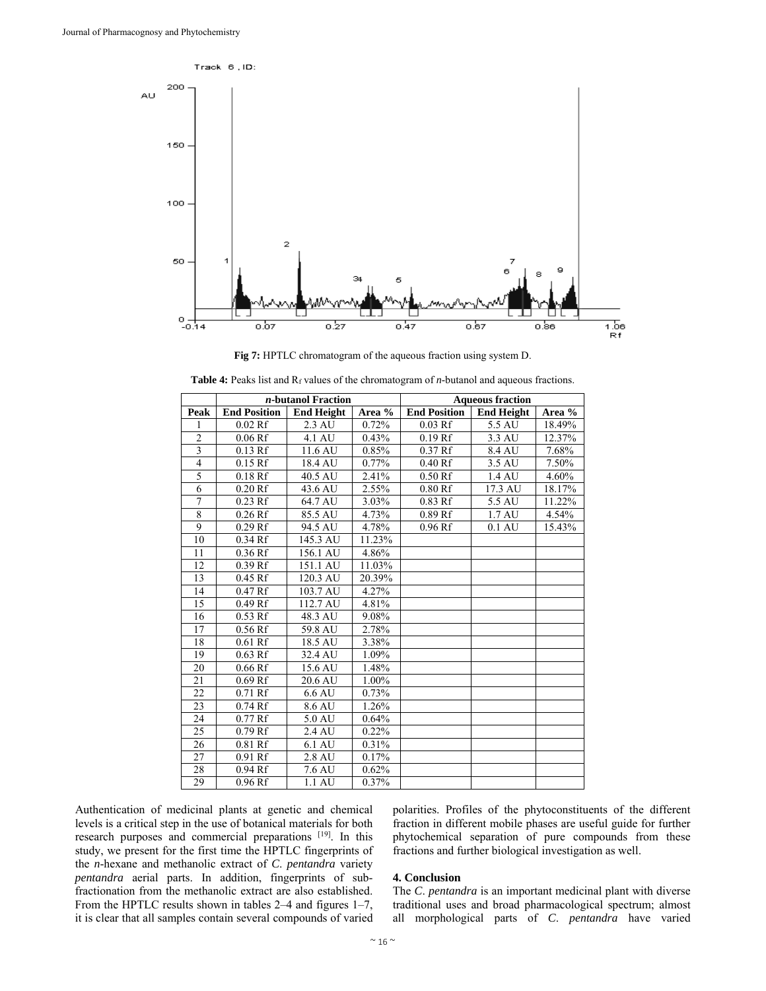

**Fig 7:** HPTLC chromatogram of the aqueous fraction using system D.

|                |                     | <i>n</i> -butanol Fraction |        |                     | <b>Aqueous fraction</b> |        |
|----------------|---------------------|----------------------------|--------|---------------------|-------------------------|--------|
| Peak           | <b>End Position</b> | <b>End Height</b>          | Area % | <b>End Position</b> | <b>End Height</b>       | Area % |
| 1              | $0.02$ Rf           | 2.3 AU                     | 0.72%  | $0.03$ Rf           | 5.5 AU                  | 18.49% |
| $\overline{c}$ | $0.06$ Rf           | 4.1 AU                     | 0.43%  | $0.19$ Rf           | 3.3 AU                  | 12.37% |
| 3              | $0.13$ Rf           | 11.6 AU                    | 0.85%  | $0.37$ Rf           | 8.4 AU                  | 7.68%  |
| 4              | $0.15$ Rf           | 18.4 AU                    | 0.77%  | 0.40Rf              | 3.5 AU                  | 7.50%  |
| 5              | $0.18$ Rf           | 40.5 AU                    | 2.41%  | 0.50Rf              | 1.4 AU                  | 4.60%  |
| 6              | $0.20$ Rf           | 43.6 AU                    | 2.55%  | 0.80Rf              | 17.3 AU                 | 18.17% |
| 7              | $0.23$ Rf           | 64.7 AU                    | 3.03%  | 0.83 Rf             | 5.5 AU                  | 11.22% |
| 8              | $0.26$ Rf           | 85.5 AU                    | 4.73%  | $0.89$ Rf           | 1.7 AU                  | 4.54%  |
| 9              | $0.29$ Rf           | 94.5 AU                    | 4.78%  | $0.96$ Rf           | $0.1 \text{ AU}$        | 15.43% |
| 10             | $0.34$ Rf           | 145.3 AU                   | 11.23% |                     |                         |        |
| 11             | $0.36$ Rf           | 156.1 AU                   | 4.86%  |                     |                         |        |
| 12             | $0.39$ Rf           | 151.1 AU                   | 11.03% |                     |                         |        |
| 13             | $0.45$ Rf           | 120.3 AU                   | 20.39% |                     |                         |        |
| 14             | $0.47$ Rf           | 103.7 AU                   | 4.27%  |                     |                         |        |
| 15             | $0.49$ Rf           | 112.7 AU                   | 4.81%  |                     |                         |        |
| 16             | $0.53$ Rf           | 48.3 AU                    | 9.08%  |                     |                         |        |
| 17             | $0.56$ Rf           | 59.8 AU                    | 2.78%  |                     |                         |        |
| 18             | $0.61$ Rf           | 18.5 AU                    | 3.38%  |                     |                         |        |
| 19             | $0.63$ Rf           | 32.4 AU                    | 1.09%  |                     |                         |        |
| 20             | 0.66Rf              | 15.6 AU                    | 1.48%  |                     |                         |        |
| 21             | $0.69$ Rf           | 20.6 AU                    | 1.00%  |                     |                         |        |
| 22             | $0.71$ Rf           | 6.6 AU                     | 0.73%  |                     |                         |        |
| 23             | $0.74$ Rf           | 8.6 AU                     | 1.26%  |                     |                         |        |
| 24             | $0.77$ Rf           | 5.0 AU                     | 0.64%  |                     |                         |        |
| 25             | $0.79$ Rf           | 2.4 AU                     | 0.22%  |                     |                         |        |
| 26             | $0.81$ Rf           | 6.1 AU                     | 0.31%  |                     |                         |        |
| 27             | $0.91$ Rf           | 2.8 AU                     | 0.17%  |                     |                         |        |
| 28             | $0.94$ Rf           | 7.6 AU                     | 0.62%  |                     |                         |        |
| 29             | 0.96Rf              | $1.1 \text{ AU}$           | 0.37%  |                     |                         |        |

| <b>Table 4:</b> Peaks list and $R_f$ values of the chromatogram of <i>n</i> -butanol and aqueous fractions. |
|-------------------------------------------------------------------------------------------------------------|
|-------------------------------------------------------------------------------------------------------------|

Authentication of medicinal plants at genetic and chemical levels is a critical step in the use of botanical materials for both research purposes and commercial preparations [19]. In this study, we present for the first time the HPTLC fingerprints of the *n*-hexane and methanolic extract of *C*. *pentandra* variety *pentandra* aerial parts. In addition, fingerprints of subfractionation from the methanolic extract are also established. From the HPTLC results shown in tables 2–4 and figures 1–7, it is clear that all samples contain several compounds of varied

polarities. Profiles of the phytoconstituents of the different fraction in different mobile phases are useful guide for further phytochemical separation of pure compounds from these fractions and further biological investigation as well.

#### **4. Conclusion**

The *C*. *pentandra* is an important medicinal plant with diverse traditional uses and broad pharmacological spectrum; almost all morphological parts of *C*. *pentandra* have varied